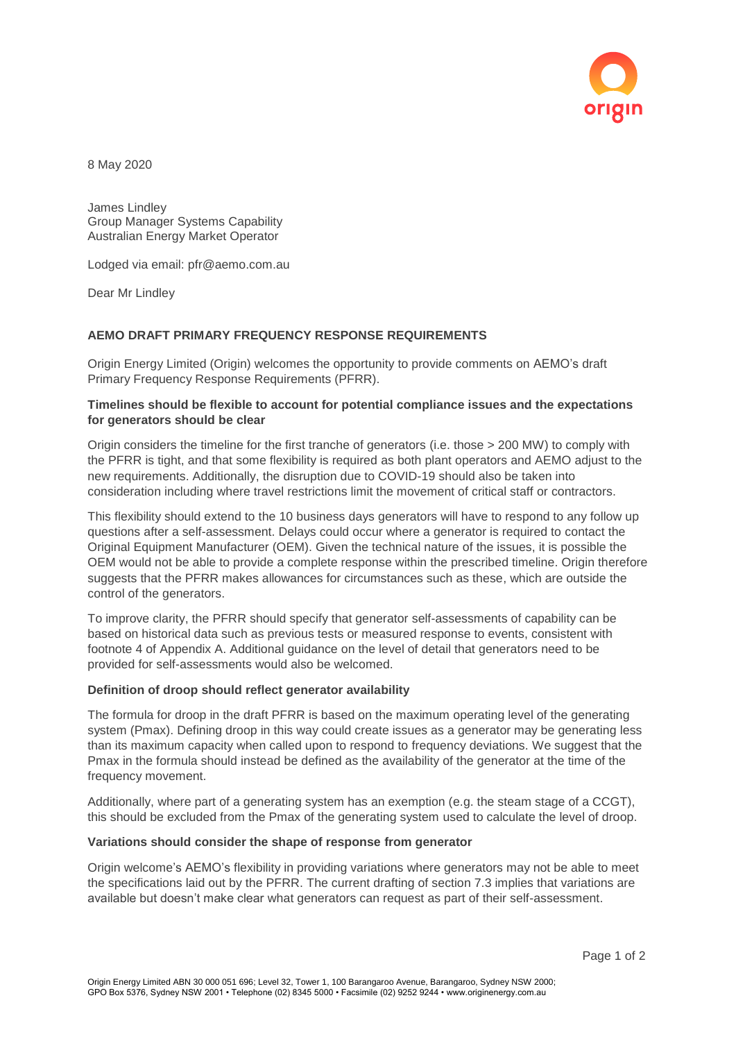

8 May 2020

James Lindley Group Manager Systems Capability Australian Energy Market Operator

Lodged via email: pfr@aemo.com.au

Dear Mr Lindley

# **AEMO DRAFT PRIMARY FREQUENCY RESPONSE REQUIREMENTS**

Origin Energy Limited (Origin) welcomes the opportunity to provide comments on AEMO's draft Primary Frequency Response Requirements (PFRR).

# **Timelines should be flexible to account for potential compliance issues and the expectations for generators should be clear**

Origin considers the timeline for the first tranche of generators (i.e. those > 200 MW) to comply with the PFRR is tight, and that some flexibility is required as both plant operators and AEMO adjust to the new requirements. Additionally, the disruption due to COVID-19 should also be taken into consideration including where travel restrictions limit the movement of critical staff or contractors.

This flexibility should extend to the 10 business days generators will have to respond to any follow up questions after a self-assessment. Delays could occur where a generator is required to contact the Original Equipment Manufacturer (OEM). Given the technical nature of the issues, it is possible the OEM would not be able to provide a complete response within the prescribed timeline. Origin therefore suggests that the PFRR makes allowances for circumstances such as these, which are outside the control of the generators.

To improve clarity, the PFRR should specify that generator self-assessments of capability can be based on historical data such as previous tests or measured response to events, consistent with footnote 4 of Appendix A. Additional guidance on the level of detail that generators need to be provided for self-assessments would also be welcomed.

## **Definition of droop should reflect generator availability**

The formula for droop in the draft PFRR is based on the maximum operating level of the generating system (Pmax). Defining droop in this way could create issues as a generator may be generating less than its maximum capacity when called upon to respond to frequency deviations. We suggest that the Pmax in the formula should instead be defined as the availability of the generator at the time of the frequency movement.

Additionally, where part of a generating system has an exemption (e.g. the steam stage of a CCGT), this should be excluded from the Pmax of the generating system used to calculate the level of droop.

#### **Variations should consider the shape of response from generator**

Origin welcome's AEMO's flexibility in providing variations where generators may not be able to meet the specifications laid out by the PFRR. The current drafting of section 7.3 implies that variations are available but doesn't make clear what generators can request as part of their self-assessment.